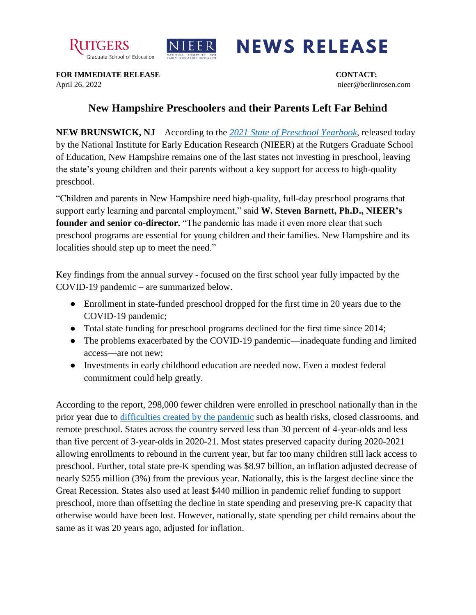



## **NEWS RELEASE**

**FOR IMMEDIATE RELEASE CONTACT:** April 26, 2022 nieer@berlinrosen.com

## **New Hampshire Preschoolers and their Parents Left Far Behind**

**NEW BRUNSWICK, NJ** – According to the *[2021 State of Preschool Yearbook,](https://nieer.org/state-preschool-yearbooks-yearbook2021)* released today by the National Institute for Early Education Research (NIEER) at the Rutgers Graduate School of Education, New Hampshire remains one of the last states not investing in preschool, leaving the state's young children and their parents without a key support for access to high-quality preschool.

"Children and parents in New Hampshire need high-quality, full-day preschool programs that support early learning and parental employment," said **W. Steven Barnett, Ph.D., NIEER's founder and senior co-director.** "The pandemic has made it even more clear that such preschool programs are essential for young children and their families. New Hampshire and its localities should step up to meet the need."

Key findings from the annual survey - focused on the first school year fully impacted by the COVID-19 pandemic – are summarized below.

- Enrollment in state-funded preschool dropped for the first time in 20 years due to the COVID-19 pandemic;
- Total state funding for preschool programs declined for the first time since 2014;
- The problems exacerbated by the COVID-19 pandemic—inadequate funding and limited access—are not new;
- Investments in early childhood education are needed now. Even a modest federal commitment could help greatly.

According to the report, 298,000 fewer children were enrolled in preschool nationally than in the prior year due to [difficulties created by the pandemic](https://nieer.org/wp-content/uploads/2021/02/NIEER_Seven_Impacts_of_the_Pandemic_on_Young_Children_and_their_Parents.pdf) such as health risks, closed classrooms, and remote preschool. States across the country served less than 30 percent of 4-year-olds and less than five percent of 3-year-olds in 2020-21. Most states preserved capacity during 2020-2021 allowing enrollments to rebound in the current year, but far too many children still lack access to preschool. Further, total state pre-K spending was \$8.97 billion, an inflation adjusted decrease of nearly \$255 million (3%) from the previous year. Nationally, this is the largest decline since the Great Recession. States also used at least \$440 million in pandemic relief funding to support preschool, more than offsetting the decline in state spending and preserving pre-K capacity that otherwise would have been lost. However, nationally, state spending per child remains about the same as it was 20 years ago, adjusted for inflation.